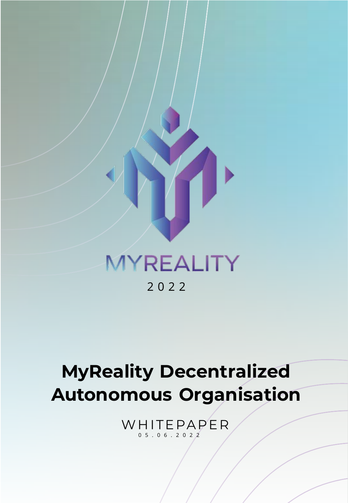

### MYREALITY 202 2

# **MyReality Decentralized Autonomous Organisation**

WHITEPAPER 0 5 . 0 6 . 202 2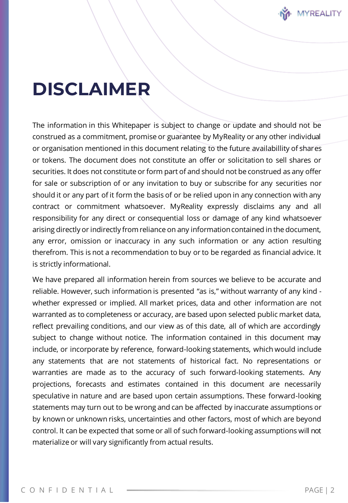

### **DISCLAIMER**

The information in this Whitepaper is subject to change or update and should not be construed as a commitment, promise or guarantee by MyReality or any other individual or organisation mentioned in this document relating to the future availabillity of shares or tokens. The document does not constitute an offer or solicitation to sell shares or securities. It does not constitute or form part of and should not be construed as any offer for sale or subscription of or any invitation to buy or subscribe for any securities nor should it or any part of it form the basis of or be relied upon in any connection with any contract or commitment whatsoever. MyReality expressly disclaims any and all responsibility for any direct or consequential loss or damage of any kind whatsoever arising directly or indirectly from reliance on any information contained in the document, any error, omission or inaccuracy in any such information or any action resulting therefrom. This is not a recommendation to buy or to be regarded as financial advice. It is strictly informational.

We have prepared all information herein from sources we believe to be accurate and reliable. However, such information is presented "as is," without warranty of any kind whether expressed or implied. All market prices, data and other information are not warranted as to completeness or accuracy, are based upon selected public market data, reflect prevailing conditions, and our view as of this date, all of which are accordingly subject to change without notice. The information contained in this document may include, or incorporate by reference, forward-looking statements, which would include any statements that are not statements of historical fact. No representations or warranties are made as to the accuracy of such forward-looking statements. Any projections, forecasts and estimates contained in this document are necessarily speculative in nature and are based upon certain assumptions. These forward-looking statements may turn out to be wrong and can be affected by inaccurate assumptions or by known or unknown risks, uncertainties and other factors, most of which are beyond control. It can be expected that some or all of such forward-looking assumptions will not materialize or will vary significantly from actual results.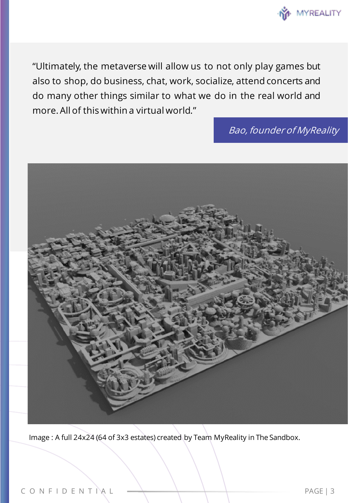

"Ultimately, the metaverse will allow us to not only play games but also to shop, do business, chat, work, socialize, attend concerts and do many other things similar to what we do in the real world and more. All of this within a virtual world."

Bao, founder of MyReality



Image : A full 24x24 (64 of 3x3 estates) created by Team MyReality in The Sandbox.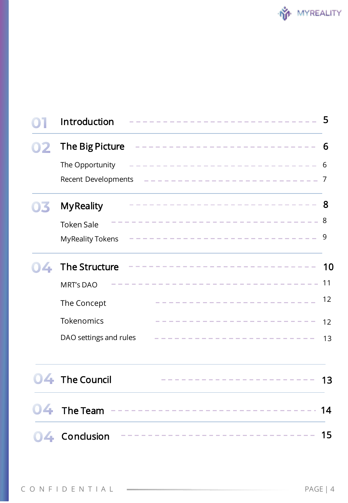|    | Introduction            | ---------------              | 5  |
|----|-------------------------|------------------------------|----|
|    | The Big Picture         | -----------------------      | 6  |
|    | The Opportunity         | ---------------------------- | 6  |
|    | Recent Developments     | ---------------------------  | -7 |
|    | <b>MyReality</b>        | -------------------------    | -8 |
|    | <b>Token Sale</b>       | ---------------------------  | 8  |
|    | <b>MyReality Tokens</b> | -------------------------    | 9  |
| 4  | The Structure           | ------------------------     | 10 |
|    | <b>MRT's DAO</b>        | ------------------------     | 11 |
|    | The Concept             | ----------------------       | 12 |
|    | Tokenomics              | ---------------------        | 12 |
|    | DAO settings and rules  |                              | 13 |
|    | 04 The Council          | ------------------------     | 13 |
| 04 | The Team                |                              | 14 |
| 4  | Conclusion              | --------------------------   | 15 |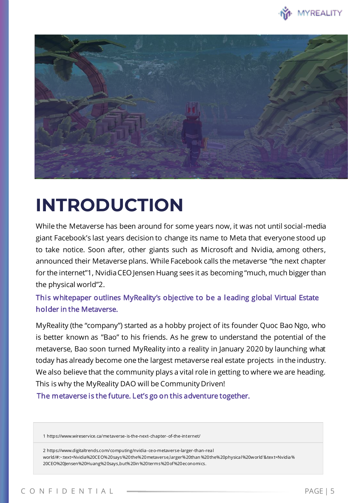



## **INTRODUCTION**

While the Metaverse has been around for some years now, it was not until social-media giant Facebook's last years decision to change its name to Meta that everyone stood up to take notice. Soon after, other giants such as Microsoft and Nvidia, among others, announced their Metaverse plans. While Facebook calls the metaverse "the next chapter for the internet"1, Nvidia CEO Jensen Huang sees it as becoming "much, much bigger than the physical world"2.

This whitepaper outlines MyReality's objective to be a leading global Virtual Estate holder in the Metaverse.

MyReality (the "company") started as a hobby project of its founder Quoc Bao Ngo, who is better known as "Bao" to his friends. As he grew to understand the potential of the metaverse, Bao soon turned MyReality into a reality in January 2020 by launching what today has already become one the largest metaverse real estate projects in the industry. We also believe that the community plays a vital role in getting to where we are heading. This is why the MyReality DAO will be Community Driven!

The metaverse is the future. Let's go on this adventure together.

1 https://www.wireservice.ca/metaverse-is-the-next- chapter-of-the-internet/

2 https://www.digitaltrends.com/computing/nvidia- ceo-metaverse-larger-than-real world/#:~:text=Nvidia%20CEO%20says%20the%20metaverse,larger%20than %20the%20physical%20world'&tex t=Nvidia% 20CEO%20Jensen%20Huang%20says,but%20in %20terms%20of%20economics.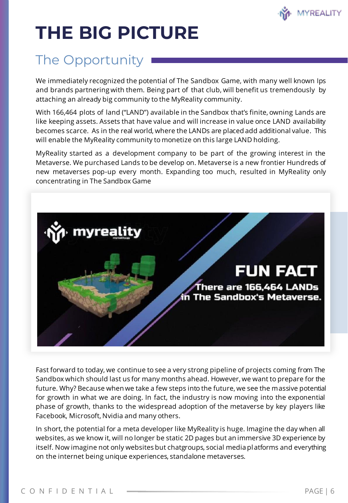

# **THE BIG PICTURE**

### The Opportunity

We immediately recognized the potential of The Sandbox Game, with many well known Ips and brands partnering with them. Being part of that club, will benefit us tremendously by attaching an already big community to the MyReality community.

With 166,464 plots of land ("LAND") available in the Sandbox that's finite, owning Lands are like keeping assets. Assets that have value and will increase in value once LAND availability becomes scarce. As in the real world, where the LANDs are placed add additional value. This will enable the MyReality community to monetize on this large LAND holding.

MyReality started as a development company to be part of the growing interest in the Metaverse. We purchased Lands to be develop on. Metaverse is a new frontier Hundreds of new metaverses pop-up every month. Expanding too much, resulted in MyReality only concentrating in The Sandbox Game



Fast forward to today, we continue to see a very strong pipeline of projects coming from The Sandbox which should last us for many months ahead. However, we want to prepare for the future. Why? Because when we take a few steps into the future, we see the massive potential for growth in what we are doing. In fact, the industry is now moving into the exponential phase of growth, thanks to the widespread adoption of the metaverse by key players like Facebook, Microsoft, Nvidia and many others.

In short, the potential for a meta developer like MyReality is huge. Imagine the day when all websites, as we know it, will no longer be static 2D pages but an immersive 3D experience by itself. Now imagine not only websites but chatgroups, social media platforms and everything on the internet being unique experiences, standalone metaverses.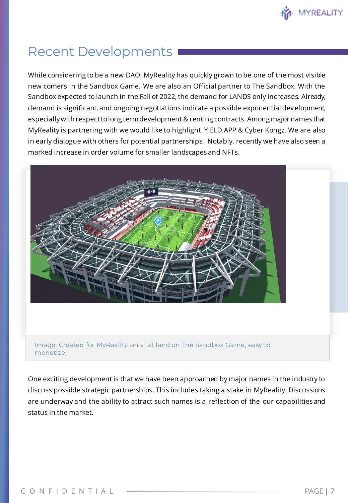

### Recent Developments

While considering to be a new DAO, MyReality has quickly grown to be one of the most visible new comers in the Sandbox Game. We are also an Official partner to The Sandbox. With the Sandbox expected to launch in the Fall of 2022, the demand for LANDS only increases. Already, demand is significant, and ongoing negotiations indicate a possible exponential development, especially with respect to long term development & renting contracts. Among major names that MyReality is partnering with we would like to highlight YIELD.APP & Cyber Kongz. We are also in early dialogue with others for potential partnerships. Notably, recently we have also seen a marked increase in order volume for smaller landscapes and NFTs.



Image: Created for MyReality on a 1x1 land on The Sandbox Game, easy to monetize.

One exciting development is that we have been approached by major names in the industry to discuss possible strategic partnerships. This includes taking a stake in MyReality. Discussions are underway and the ability to attract such names is a reflection of the our capabilities and status in the market.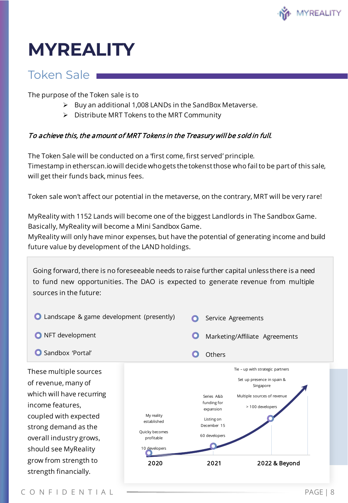

## **MYREALITY**

#### Token Sale

The purpose of the Token sale is to

- ➢ Buy an additional 1,008 LANDs in the SandBox Metaverse.
- ➢ Distribute MRT Tokens to the MRT Community

#### To achieve this, the amount of MRT Tokens in the Treasury will be sold in full.

The Token Sale will be conducted on a 'first come, first served' principle. Timestamp in etherscan.io will decide who gets the tokenstthose who fail to be part of this sale, will get their funds back, minus fees.

Token sale won't affect our potential in the metaverse, on the contrary, MRT will be very rare!

MyReality with 1152 Lands will become one of the biggest Landlords in The Sandbox Game. Basically, MyReality will become a Mini Sandbox Game.

MyReality will only have minor expenses, but have the potential of generating income and build future value by development of the LAND holdings.

Going forward, there is no foreseeable needs to raise further capital unless there is a need to fund new opportunities. The DAO is expected to generate revenue from multiple sources in the future:

| Landscape & game development (presently)                                                                                                                                                                                                             |                                                                                    | Service Agreements                                                                           |                                                                                                                                                 |  |  |
|------------------------------------------------------------------------------------------------------------------------------------------------------------------------------------------------------------------------------------------------------|------------------------------------------------------------------------------------|----------------------------------------------------------------------------------------------|-------------------------------------------------------------------------------------------------------------------------------------------------|--|--|
| NFT development                                                                                                                                                                                                                                      |                                                                                    | Marketing/Affiliate Agreements                                                               |                                                                                                                                                 |  |  |
| Sandbox 'Portal'                                                                                                                                                                                                                                     |                                                                                    | Others                                                                                       |                                                                                                                                                 |  |  |
| These multiple sources<br>of revenue, many of<br>which will have recurring<br>income features,<br>coupled with expected<br>strong demand as the<br>overall industry grows,<br>should see MyReality<br>grow from strength to<br>strength financially. | My reality<br>established<br>Quicky becomes<br>profitable<br>10 developers<br>2020 | Series A&b<br>funding for<br>expansion<br>Listing on<br>December 15<br>60 developers<br>2021 | Tie - up with strategic partners<br>Set up presence in spain &<br>Singapore<br>Multiple sources of revenue<br>> 100 developers<br>2022 & Beyond |  |  |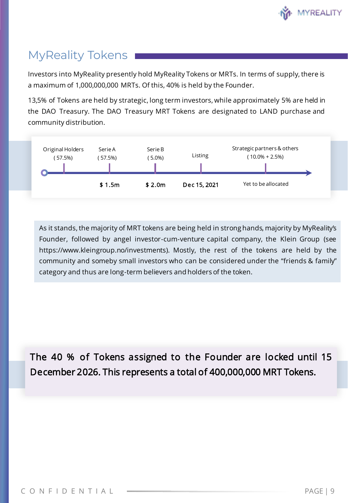

### MyReality Tokens

Investors into MyReality presently hold MyReality Tokens or MRTs. In terms of supply, there is a maximum of 1,000,000,000 MRTs. Of this, 40% is held by the Founder.

13,5% of Tokens are held by strategic, long term investors, while approximately 5% are held in the DAO Treasury. The DAO Treasury MRT Tokens are designated to LAND purchase and community distribution.



As it stands, the majority of MRT tokens are being held in strong hands, majority by MyReality's Founder, followed by angel investor-cum-venture capital company, the Klein Group (see https://www.kleingroup.no/investments). Mostly, the rest of the tokens are held by the community and someby small investors who can be considered under the "friends & family" category and thus are long-term believers and holders of the token.

The 40 % of Tokens assigned to the Founder are locked until 15 December 2026. This represents a total of 400,000,000 MRT Tokens.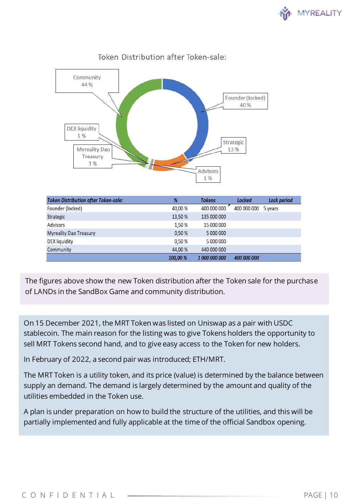



#### Token Distribution after Token-sale:

| <b>Token Distribution after Token-sale:</b> | %        | <b>Tokens</b> | <b>Locked</b> | Lock period |
|---------------------------------------------|----------|---------------|---------------|-------------|
| Founder (locked)                            | 40.00 %  | 400 000 000   | 400 000 000   | 5 years     |
| <b>Strategic</b>                            | 13,50 %  | 135 000 000   |               |             |
| <b>Advisors</b>                             | 1.50 %   | 15 000 000    |               |             |
| <b>Myreality Dao Treasury</b>               | 0.50%    | 5 000 000     |               |             |
| DEX liquidity                               | 0.50%    | 5 000 000     |               |             |
| Community                                   | 44.00 %  | 440 000 000   |               |             |
|                                             | 100,00 % | 1 000 000 000 | 400 000 000   |             |

The figures above show the new Token distribution after the Token sale for the purchase of LANDs in the SandBox Game and community distribution.

On 15 December 2021, the MRT Token was listed on Uniswap as a pair with USDC stablecoin. The main reason for the listing was to give Tokens holders the opportunity to sell MRT Tokens second hand, and to give easy access to the Token for new holders.

In February of 2022, a second pair was introduced; ETH/MRT.

The MRT Token is a utility token, and its price (value) is determined by the balance between supply an demand. The demand is largely determined by the amount and quality of the utilities embedded in the Token use.

A plan is under preparation on how to build the structure of the utilities, and this will be partially implemented and fully applicable at the time of the official Sandbox opening.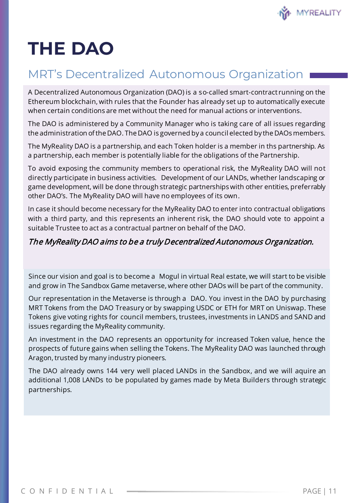

# **THE DAO**

### MRT's Decentralized Autonomous Organization

A Decentralized Autonomous Organization (DAO) is a so-called smart-contract running on the Ethereum blockchain, with rules that the Founder has already set up to automatically execute when certain conditions are met without the need for manual actions or interventions.

The DAO is administered by a Community Manager who is taking care of all issues regarding the administration of the DAO. The DAO is governed by a council elected by the DAOs members.

The MyReality DAO is a partnership, and each Token holder is a member in ths partnership. As a partnership, each member is potentially liable for the obligations of the Partnership.

To avoid exposing the community members to operational risk, the MyReality DAO will not directly participate in business activities. Development of our LANDs, whether landscaping or game development, will be done through strategic partnerships with other entities, preferrably other DAO's. The MyReality DAO will have no employees of its own.

In case it should become necessary for the MyReality DAO to enter into contractual obligations with a third party, and this represents an inherent risk, the DAO should vote to appoint a suitable Trustee to act as a contractual partner on behalf of the DAO.

#### The MyReality DAO aims to be a truly Decentralized Autonomous Organization.

Since our vision and goal is to become a Mogul in virtual Real estate, we will start to be visible and grow in The Sandbox Game metaverse, where other DAOs will be part of the community.

Our representation in the Metaverse is through a DAO. You invest in the DAO by purchasing MRT Tokens from the DAO Treasury or by swapping USDC or ETH for MRT on Uniswap. These Tokens give voting rights for council members, trustees, investments in LANDS and SAND and issues regarding the MyReality community.

An investment in the DAO represents an opportunity for increased Token value, hence the prospects of future gains when selling the Tokens. The MyReality DAO was launched through Aragon, trusted by many industry pioneers.

The DAO already owns 144 very well placed LANDs in the Sandbox, and we will aquire an additional 1,008 LANDs to be populated by games made by Meta Builders through strategic partnerships.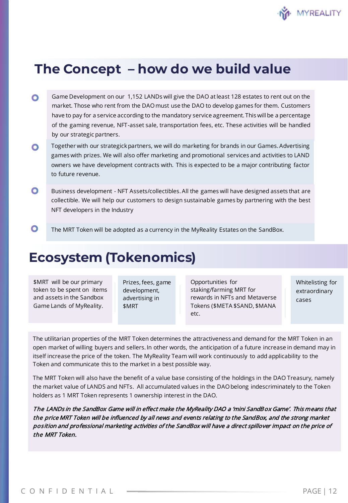

### **The Concept – how do we build value**

- $\bullet$ Game Development on our 1,152 LANDs will give the DAO at least 128 estates to rent out on the market. Those who rent from the DAO must use the DAO to develop games for them. Customers have to pay for a service according to the mandatory service agreement. This will be a percentage of the gaming revenue, NFT-asset sale, transportation fees, etc. These activities will be handled by our strategic partners.
- Together with our strategick partners, we will do marketing for brands in our Games. Advertising  $\bullet$ games with prizes. We will also offer marketing and promotional services and activities to LAND owners we have development contracts with. This is expected to be a major contributing factor to future revenue.
- $\bullet$ Business development - NFT Assets/collectibles. All the games will have designed assets that are collectible. We will help our customers to design sustainable games by partnering with the best NFT developers in the Industry
- $\bullet$ The MRT Token will be adopted as a currency in the MyReality Estates on the SandBox.

### **Ecosystem (Tokenomics)**

\$MRT will be our primary token to be spent on items and assets in the Sandbox Game Lands of MyReality.

Prizes, fees, game development, advertising in \$MRT

Opportunities for staking/farming MRT for rewards in NFTs and Metaverse Tokens (\$META \$SAND, \$MANA etc.

Whitelisting for extraordinary cases

The utilitarian properties of the MRT Token determines the attractiveness and demand for the MRT Token in an open market of willing buyers and sellers. In other words, the anticipation of a future increase in demand may in itself increase the price of the token. The MyReality Team will work continuously to add applicability to the Token and communicate this to the market in a best possible way.

The MRT Token will also have the benefit of a value base consisting of the holdings in the DAO Treasury, namely the market value of LANDS and NFTs. All accumulated values in the DAO belong indescriminately to the Token holders as 1 MRT Token represents 1 ownership interest in the DAO.

The LANDs in the SandBox Game will in effect make the MyReality DAO a 'mini SandBox Game'. This means that the price MRT Token will be influenced by all news and events relating to the SandBox, and the strong market position and professional marketing activities of the SandBox will have a direct spillover impact on the price of the MRT Token.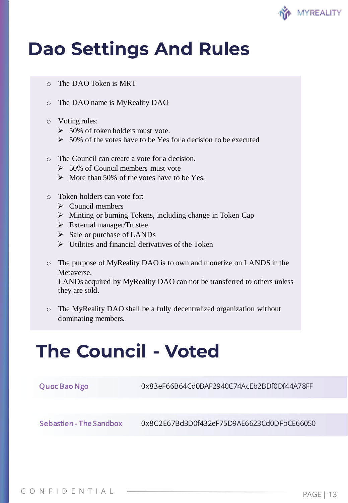

### **Dao Settings And Rules**

- o The DAO Token is MRT
- o The DAO name is MyReality DAO
- o Voting rules:
	- $\geq 50\%$  of token holders must vote.
	- $\geq 50\%$  of the votes have to be Yes for a decision to be executed
- o The Council can create a vote for a decision.
	- $\geq 50\%$  of Council members must vote
	- $\triangleright$  More than 50% of the votes have to be Yes.
- o Token holders can vote for:
	- $\triangleright$  Council members
	- ➢ Minting or burning Tokens, including change in Token Cap
	- ➢ External manager/Trustee
	- $\triangleright$  Sale or purchase of LANDs
	- $\triangleright$  Utilities and financial derivatives of the Token
- o The purpose of MyReality DAO is to own and monetize on LANDS in the Metaverse.

LANDs acquired by MyReality DAO can not be transferred to others unless they are sold.

o The MyReality DAO shall be a fully decentralized organization without dominating members.

### **The Council - Voted**

| Quoc Bao Ngo            | 0x83eF66B64Cd0BAF2940C74AcEb2BDf0Df44A78FF |
|-------------------------|--------------------------------------------|
|                         |                                            |
| Sebastien - The Sandbox | 0x8C2E67Bd3D0f432eF75D9AE6623Cd0DFbCE66050 |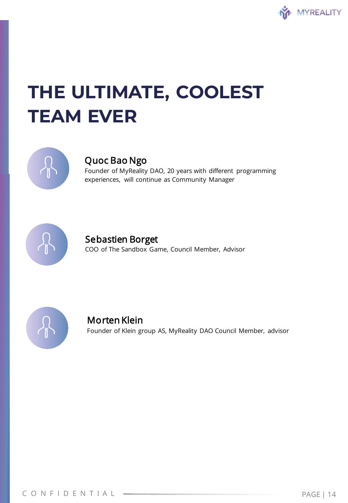

# **THE ULTIMATE, COOLEST TEAM EVER**



#### Quoc Bao Ngo

 Founder of MyReality DAO, 20 years with different programming experiences, will continue as Community Manager



#### Sebastien Borget

COO of The Sandbox Game, Council Member, Advisor



#### Morten Klein

Founder of Klein group AS, MyReality DAO Council Member, advisor